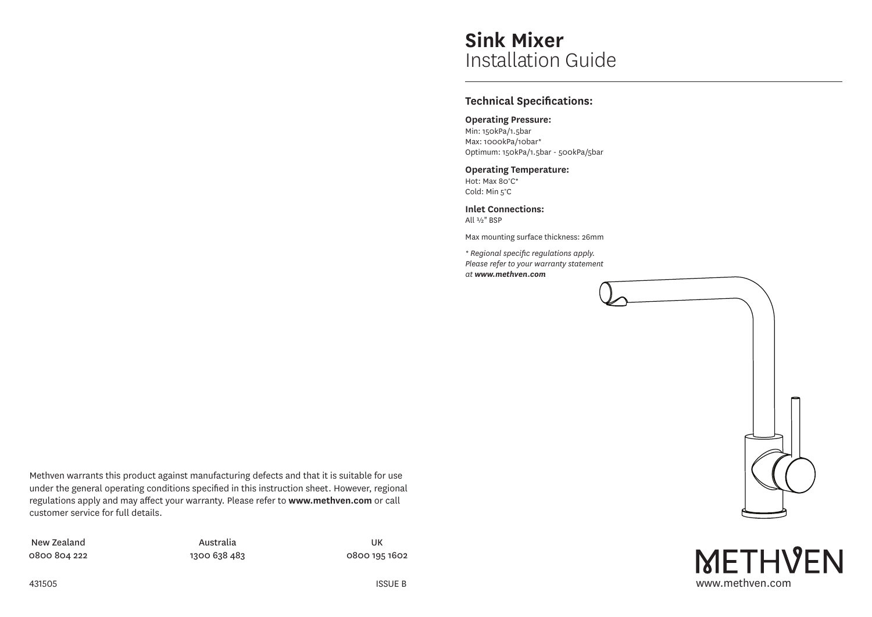# **Sink Mixer** Installation Guide

## **Technical Specifications:**

## **Operating Pressure:**

Min: 150kPa/1.5bar Max: 1000kPa/10bar\* Optimum: 150kPa/1.5bar - 500kPa/5bar

## **Operating Temperature:**

Hot: Max 80°C\* Cold: Min 5°C

**Inlet Connections:** All ½" BSP

Max mounting surface thickness: 26mm

*\* Regional specific regulations apply. Please refer to your warranty statement at www.methven.com*



New Zealand 0800 804 222

Australia 1300 638 483

UK 0800 195 1602